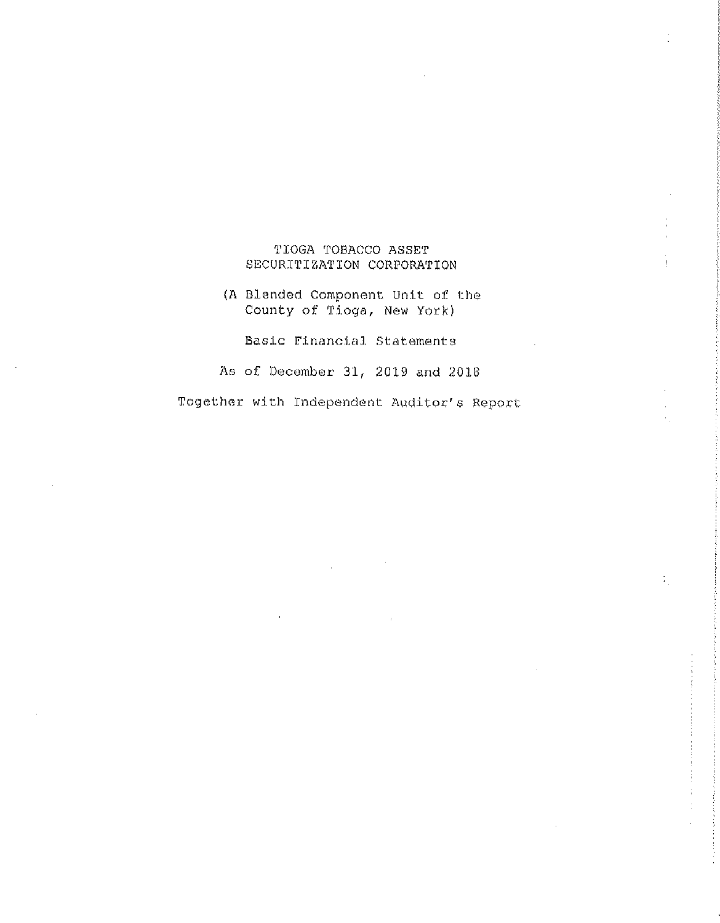## TIOGA TOBACCO ASSET SECURITIZATION CORPORATION

(A Blended Component Unit of the County of Tioga, New York)

Basic Financial Statements

As of December 31, 2019 and 2018

Together with Independent Auditor's Report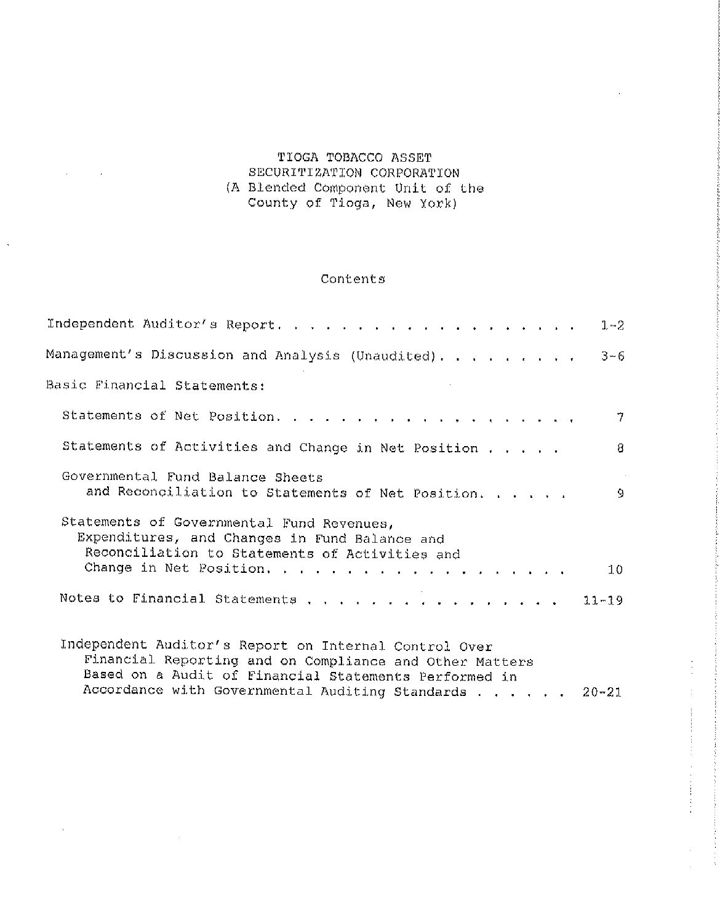# TIOGA TOBACCO ASSET SECURITIZATION CORPORATION (A Blended Component Unit of the County of Tioga, New York)

## Contents

| Independent Auditor's Report.                                                                                                                | $1 - 2$             |
|----------------------------------------------------------------------------------------------------------------------------------------------|---------------------|
| Management's Discussion and Analysis (Unaudited).                                                                                            | $3 - 6$             |
| Basic Financial Statements:                                                                                                                  |                     |
| Statements of Net Position.                                                                                                                  | 7                   |
| Statements of Activities and Change in Net Position                                                                                          | 8.                  |
| Governmental Fund Balance Sheets<br>and Reconciliation to Statements of Net Position.                                                        | $\sim$ $\sim$<br>9. |
| Statements of Governmental Fund Revenues,<br>Expenditures, and Changes in Fund Balance and<br>Reconciliation to Statements of Activities and |                     |
| Change in Net Position,                                                                                                                      | 10                  |
| Notes to Financial Statements                                                                                                                | $32 - 39$           |

Independent Auditor's Report on Internal Control Over Financial Reporting and on Compliance and Other Matters Based on a Audit of Financial Statements Performed in Accordance with Governmental Auditing Standards . . . . . 20-21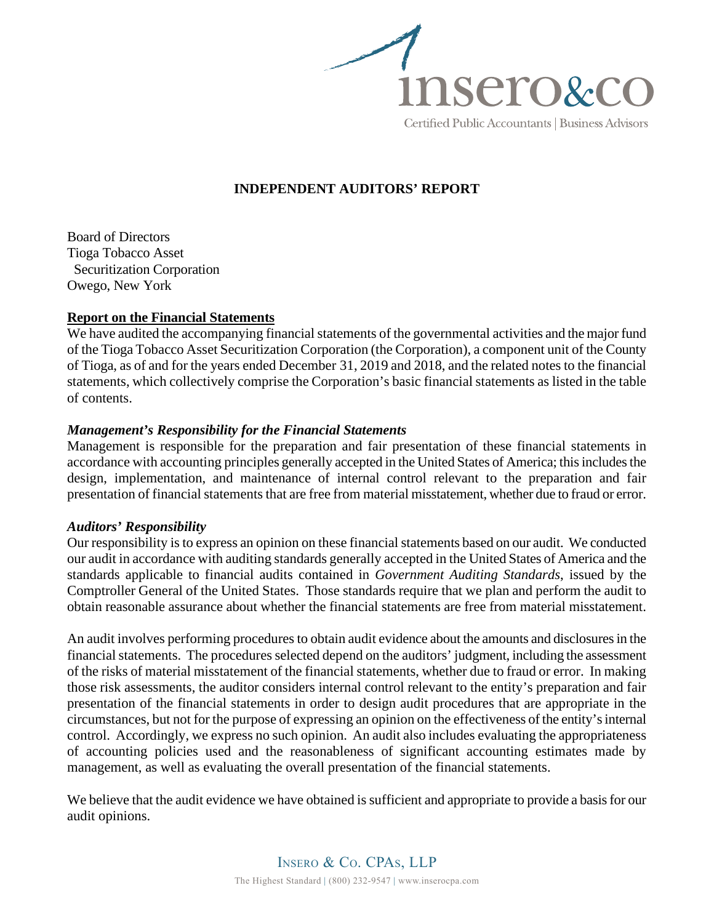

# **INDEPENDENT AUDITORS' REPORT**

Board of Directors Tioga Tobacco Asset Securitization Corporation Owego, New York

## **Report on the Financial Statements**

We have audited the accompanying financial statements of the governmental activities and the major fund of the Tioga Tobacco Asset Securitization Corporation (the Corporation), a component unit of the County of Tioga, as of and for the years ended December 31, 2019 and 2018, and the related notes to the financial statements, which collectively comprise the Corporation's basic financial statements as listed in the table of contents.

# *Management's Responsibility for the Financial Statements*

Management is responsible for the preparation and fair presentation of these financial statements in accordance with accounting principles generally accepted in the United States of America; this includes the design, implementation, and maintenance of internal control relevant to the preparation and fair presentation of financial statements that are free from material misstatement, whether due to fraud or error.

## *Auditors' Responsibility*

Our responsibility is to express an opinion on these financial statements based on our audit. We conducted our audit in accordance with auditing standards generally accepted in the United States of America and the standards applicable to financial audits contained in *Government Auditing Standards*, issued by the Comptroller General of the United States. Those standards require that we plan and perform the audit to obtain reasonable assurance about whether the financial statements are free from material misstatement.

An audit involves performing procedures to obtain audit evidence about the amounts and disclosures in the financial statements. The procedures selected depend on the auditors' judgment, including the assessment of the risks of material misstatement of the financial statements, whether due to fraud or error. In making those risk assessments, the auditor considers internal control relevant to the entity's preparation and fair presentation of the financial statements in order to design audit procedures that are appropriate in the circumstances, but not for the purpose of expressing an opinion on the effectiveness of the entity's internal control. Accordingly, we express no such opinion. An audit also includes evaluating the appropriateness of accounting policies used and the reasonableness of significant accounting estimates made by management, as well as evaluating the overall presentation of the financial statements.

We believe that the audit evidence we have obtained is sufficient and appropriate to provide a basis for our audit opinions.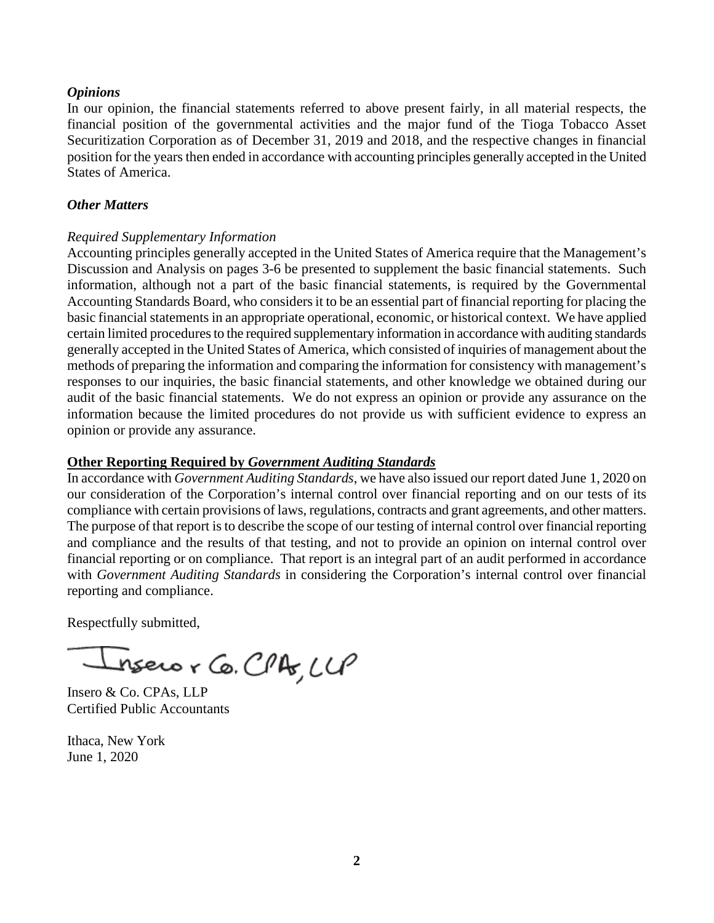# *Opinions*

In our opinion, the financial statements referred to above present fairly, in all material respects, the financial position of the governmental activities and the major fund of the Tioga Tobacco Asset Securitization Corporation as of December 31, 2019 and 2018, and the respective changes in financial position for the yearsthen ended in accordance with accounting principles generally accepted in the United States of America.

# *Other Matters*

# *Required Supplementary Information*

Accounting principles generally accepted in the United States of America require that the Management's Discussion and Analysis on pages 3-6 be presented to supplement the basic financial statements. Such information, although not a part of the basic financial statements, is required by the Governmental Accounting Standards Board, who considers it to be an essential part of financial reporting for placing the basic financial statements in an appropriate operational, economic, or historical context. We have applied certain limited procedures to the required supplementary information in accordance with auditing standards generally accepted in the United States of America, which consisted of inquiries of management about the methods of preparing the information and comparing the information for consistency with management's responses to our inquiries, the basic financial statements, and other knowledge we obtained during our audit of the basic financial statements. We do not express an opinion or provide any assurance on the information because the limited procedures do not provide us with sufficient evidence to express an opinion or provide any assurance.

# **Other Reporting Required by** *Government Auditing Standards*

In accordance with *Government Auditing Standards*, we have also issued our report dated June 1, 2020 on our consideration of the Corporation's internal control over financial reporting and on our tests of its compliance with certain provisions of laws, regulations, contracts and grant agreements, and other matters. The purpose of that report is to describe the scope of our testing of internal control over financial reporting and compliance and the results of that testing, and not to provide an opinion on internal control over financial reporting or on compliance. That report is an integral part of an audit performed in accordance with *Government Auditing Standards* in considering the Corporation's internal control over financial reporting and compliance.

Respectfully submitted,

nsero r Co. CPA, LLP

Insero & Co. CPAs, LLP Certified Public Accountants

Ithaca, New York June 1, 2020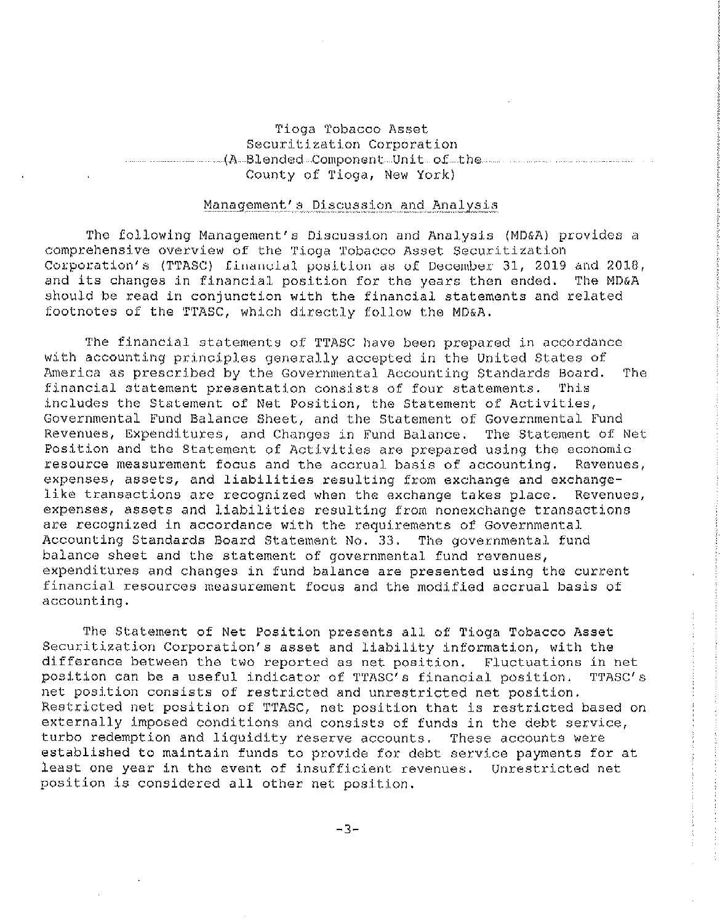Tioga Tobacco Asset Securitization Corporation County of Tioga, New York)

## Management's Discussion and Analysis

The following Management's Discussion and Analysis (MD&A) provides a comprehensive overview of the Tioga Tobacco Asset Securitization Corporation's (TTASC) financial position as of December 31, 2019 and 2018, and its changes in financial position for the years then ended. The MD&A should be read in conjunction with the financial statements and related footnotes of the TTASC, which directly follow the MD&A.

The financial statements of TTASC have been prepared in accordance with accounting principles generally accepted in the United States of America as prescribed by the Governmental Accounting Standards Board. The financial statement presentation consists of four statements. This includes the Statement of Net Position, the Statement of Activities, Governmental Fund Balance Sheet, and the Statement of Governmental Fund Revenues, Expenditures, and Changes in Fund Balance. The Statement of Net Position and the Statement of Activities are prepared using the economic resource measurement focus and the accrual basis of accounting. Revenues, expenses, assets, and liabilities resulting from exchange and exchangelike transactions are recognized when the exchange takes place. Revenues, expenses, assets and liabilities resulting from nonexchange transactions are recognized in accordance with the requirements of Governmental Accounting Standards Board Statement No. 33. The governmental fund balance sheet and the statement of governmental fund revenues, expenditures and changes in fund balance are presented using the current financial resources measurement focus and the modified accrual basis of accounting.

The Statement of Net Position presents all of Tioga Tobacco Asset Securitization Corporation's asset and liability information, with the difference between the two reported as net position. Fluctuations in net position can be a useful indicator of TTASC's financial position. TTASC's net position consists of restricted and unrestricted net position. Restricted net position of TTASC, net position that is restricted based on externally imposed conditions and consists of funds in the debt service, turbo redemption and liquidity reserve accounts. These accounts were established to maintain funds to provide for debt service payments for at least one year in the event of insufficient revenues. Unrestricted net position is considered all other net position.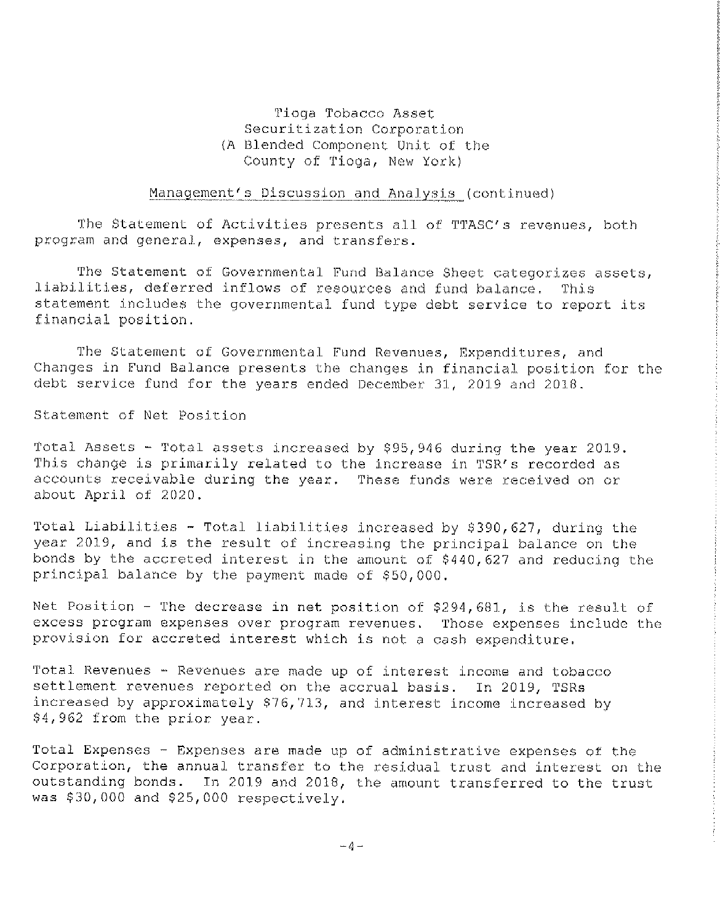## Tioga Tobacco Asset Securitization Corporation (A Blended Component Unit of the County of Tioga, New York)

## Management's Discussion and Analysis (continued)

The Statement of Activities presents all of TTASC's revenues, both program and general, expenses, and transfers.

The Statement of Governmental Fund Balance Sheet categorizes assets, liabilities, deferred inflows of resources and fund balance. This statement includes the governmental fund type debt service to report its financial position.

The Statement of Governmental Fund Revenues, Expenditures, and Changes in Fund Balance presents the changes in financial position for the debt service fund for the years ended December 31, 2019 and 2018.

Statement of Net Position

Total Assets - Total assets increased by \$95,946 during the year 2019. This change is primarily related to the increase in TSR's recorded as accounts receivable during the year. These funds were received on or about April of 2020.

Total Liabilities - Total liabilities increased by \$390,627, during the year 2019, and is the result of increasing the principal balance on the bonds by the accreted interest in the amount of \$440,627 and reducing the principal balance by the payment made of \$50,000.

Net Position - The decrease in net position of \$294,681, is the result of excess program expenses over program revenues. Those expenses include the provision for accreted interest which is not a cash expenditure.

Total Revenues - Revenues are made up of interest income and tobacco settlement revenues reported on the accrual basis. In 2019, TSRs increased by approximately \$76,713, and interest income increased by \$4,962 from the prior year.

Total Expenses - Expenses are made up of administrative expenses of the Corporation, the annual transfer to the residual trust and interest on the outstanding bonds. In 2019 and 2018, the amount transferred to the trust was \$30,000 and \$25,000 respectively.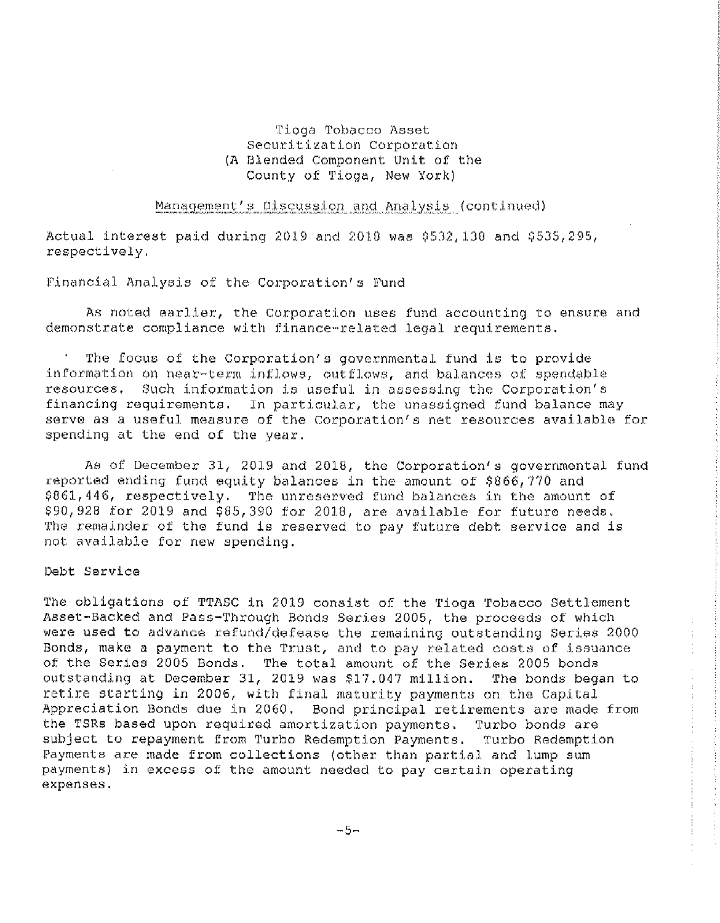## Tioga Tobacco Asset Securitization Corporation (A Blended Component Unit of the County of Tioga, New York)

## Management's Discussion and Analysis (continued)

Actual interest paid during 2019 and 2018 was 9532,138 and \$535,295, respectively.

Financial Analysis of the Corporation's Fund

As noted earlier, the Corporation uses fund accounting to ensure and demonstrate compliance with finance-related legal requirements.

The focus of the Corporation's governmental fund is to provide information on near-term inflows, outflows, and balances of spendable resources. Such information is useful in assessing the Corporation's financing requirements. In particular, the unassigned fund balance may serve as a useful measure of the Corporation's net resources available for spending at the end of the year.

As of December 31, 2019 and 2018, the Corporation's governmental fund reported ending fund equity balances in the amount of \$866,770 and \$861,446, respectively. The unreserved fund balances in the amount of \$90,928 for 2019 and \$85,390 for 2018, are available for future needs. The remainder of the fund is reserved to pay future debt service and is not available for new spending.

Debt Service

The obligations of TTASC in 2019 consist of the Tioga Tobacco Settlement Asset-Backed and Pass-Through Bonds Series 2005, the proceeds of which were used to advance refund/defease the remaining outstanding Series 2000 Bonds, make a payment to the Trust, and to pay related costs of issuance of the Series 2005 Bonds. The total amount of the Series 2005 bonds outstanding at December 31, 2019 was \$17.047 million. The bonds began to retire starting in 2006, with final maturity payments on the Capital Appreciation Bonds due in 2060. Bond principal retirements are made from the TSRs based upon required amortization payments. Turbo bonds are<br>subject to repayment from Turbo Redemption Payments. Turbo Redemption Payments are made from collections (other than partial and lump sum payments) in excess of the amount needed to pay certain operating expenses.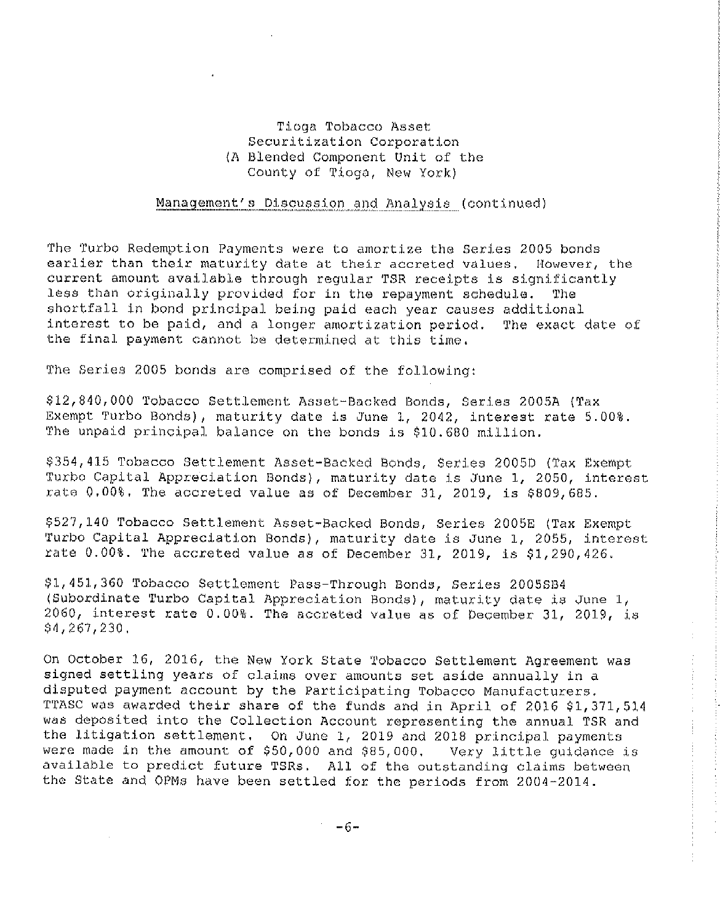## Tioga Tobacco Asset Securitization Corporation (A Blended Component Unit of the County of Tioga, New York)

## Management's Discussion and Analysis (continued)

The Turbo Redemption Payments were to amortize the Series 2005 bonds earlier than their maturity date at their accreted values. However, the current amount available through regular TSR receipts is significantly less than originally provided for in the repayment schedule. The shortfall in bond principal being paid each year causes additional interest to be paid, and a longer amortization period. The exact date of the final payment cannot be determined at this time.

The Series 2005 bonds are comprised of the following:

\$12,840,000 Tobacco Settlement Asset-Backed Bonds, Series 2005A (Tax Exempt Turbo Bonds), maturity date is June 1, 2042, interest rate 5.00%. The unpaid principal balance on the bonds is \$10.680 million.

\$354,415 Tobacco Settlement Asset-Backed Bonds, Series 2005D (Tax Exempt Turbo Capital Appreciation Bonds), maturity date is June 1, 2050, interest rate 0.00%. The accreted value as of December 31, 2019, is \$809,685.

\$527,140 Tobacco Settlement Asset-Backed Bonds, Series 2005E (Tax Exempt Turbo Capital Appreciation Bonds), maturity date is June 1, 2055, interest rate 0.00%. The accreted value as of December 31, 2019, is \$1,290,426.

\$1,451,360 Tobacco Settlement Pass-Through Bonds, Series 2005SB4 (Subordinate Turbo Capital Appreciation Bonds), maturity date is June 1, 2060, interest rate 0.00%. The accreted value as of December 31, 2019, is  $$4,267,230.$ 

On October 16, 2016, the New York State Tobacco Settlement Agreement was signed settling years of claims over amounts set aside annually in a disputed payment account by the Participating Tobacco Manufacturers. TTASC was awarded their share of the funds and in April of 2016 \$1,371,514 was deposited into the Collection Account representing the annual TSR and the litigation settlement. On June 1, 2019 and 2018 principal payments were made in the amount of \$50,000 and \$85,000. Very little guidance is available to predict future TSRs. All of the outstanding claims between the State and OPMs have been settled for the periods from 2004-2014.

 $-6-$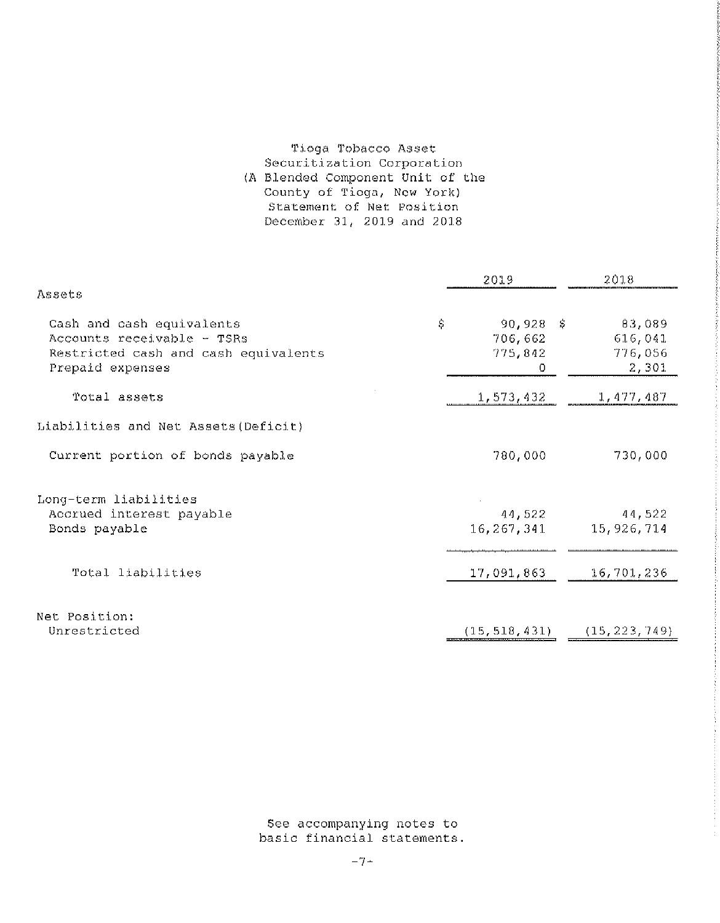## Tioga Tobacco Asset

## Securitization Corporation (A Blended Component Unit of the County of Tioga, New York)

Statement of Net Position December 31, 2019 and 2018

| Assets                                                                                                              |   | 2019                                   | 2018                                  |
|---------------------------------------------------------------------------------------------------------------------|---|----------------------------------------|---------------------------------------|
| Cash and cash equivalents<br>Accounts receivable - TSRs<br>Restricted cash and cash equivalents<br>Prepaid expenses | S | $90,928$ \$<br>706,662<br>775,842<br>0 | 83,089<br>616,041<br>776,056<br>2,301 |
| Total assets                                                                                                        |   | 1,573,432                              | 1,477,487                             |
| Liabilities and Net Assets (Deficit)                                                                                |   |                                        |                                       |
| Current portion of bonds payable                                                                                    |   | 780,000                                | 730,000                               |
| Long-term liabilities<br>Accrued interest payable<br>Bonds payable                                                  |   | 44,522<br>16,267,341                   | 44,522<br>15,926,714                  |
| Total liabilities                                                                                                   |   | 17,091,863                             | 16,701,236                            |
| Net Position:<br>Unrestricted                                                                                       |   | (15, 518, 431)                         | (15, 223, 749)                        |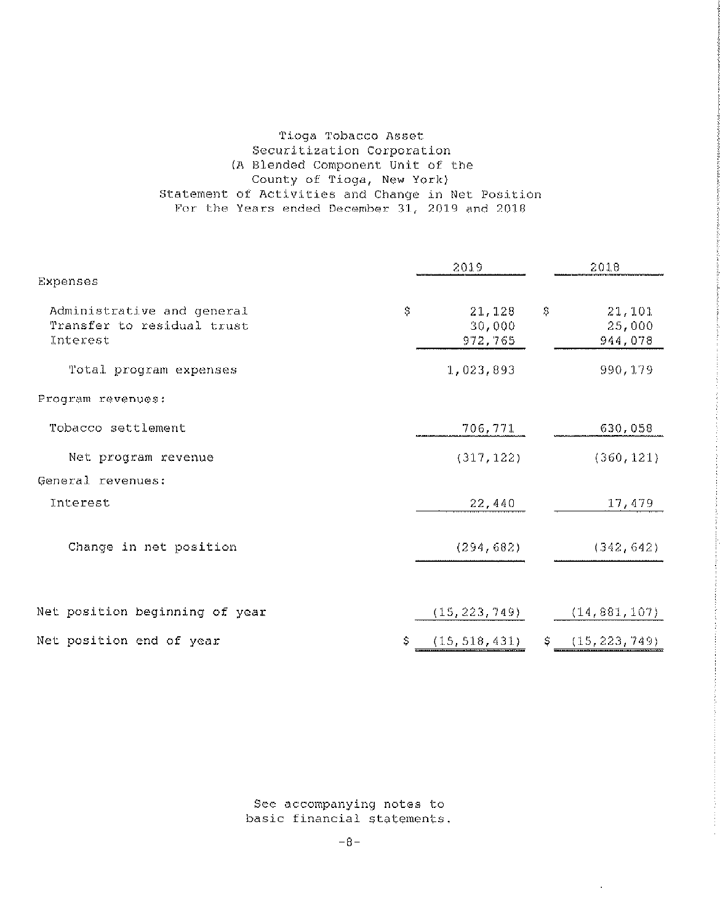## Tioga Tobacco Asset Securitization Corporation (A Blended Component Unit of the County of Tioga, New York) Statement of Activities and Change in Net Position For the Years ended December 31, 2019 and 2018

|                                                                      |     | 2019                        | 2018                              |
|----------------------------------------------------------------------|-----|-----------------------------|-----------------------------------|
| Expenses                                                             |     |                             |                                   |
| Administrative and general<br>Transfer to residual trust<br>Interest | \$. | 21,128<br>30,000<br>972,765 | \$<br>21,101<br>25,000<br>944,078 |
| Total program expenses                                               |     | 1,023,893                   | 990,179                           |
| Program revenues:                                                    |     |                             |                                   |
| Tobacco settlement                                                   |     | 706,771                     | 630,058                           |
| Net program revenue                                                  |     | (317, 122)                  | (360, 121)                        |
| General revenues:                                                    |     |                             |                                   |
| Interest                                                             |     | 22,440                      | 17,479                            |
| Change in net position                                               |     | (294, 682)                  | (342, 642)                        |
| Net position beginning of year                                       |     | (15, 223, 749)              | (14, 881, 107)                    |
| Net position end of year                                             |     | \$(15, 518, 431)            | \$  (15, 223, 749)                |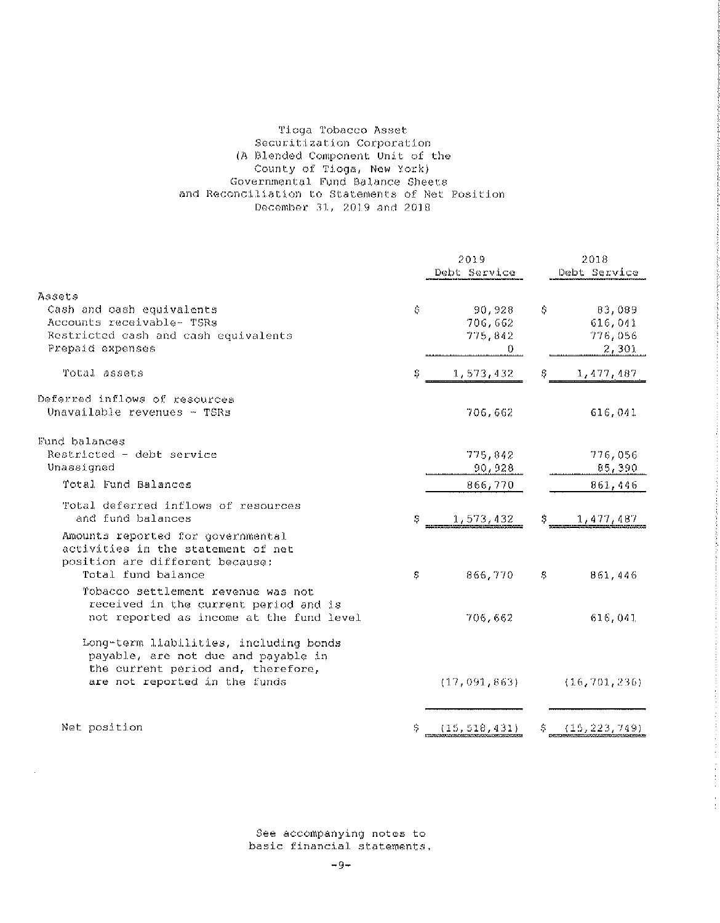# Tioga Tobacco Asset Securitization Corporation (A Blended Component Unit of the County of Tioga, New York)<br>Governmental Fund Balance Sheets<br>and Reconciliation to Statements of Net Position December 31, 2019 and 2018

|                                                                                                                                                      |     | 2019<br>Debt Service              |    | 2018<br>Debt Service                  |
|------------------------------------------------------------------------------------------------------------------------------------------------------|-----|-----------------------------------|----|---------------------------------------|
| Assets<br>Cash and cash equivalents<br>Accounts receivable- TSRs<br>Restricted cash and cash equivalents<br>Prepaid expenses                         | \$  | 90,928<br>706,662<br>775,842<br>O | \$ | 83,089<br>616,041<br>776,056<br>2,301 |
| Total assets                                                                                                                                         | \$  | 1,573,432                         | Ş. | 1,477,487                             |
| Deferred inflows of resources<br>Unavailable revenues - TSRs                                                                                         |     | 706,662                           |    | 616.041                               |
| Fund balances<br>Restricted - debt service<br>Unassigned<br>Total Fund Balances                                                                      |     | 775,842<br>90,928<br>866,770      |    | 776,056<br>85,390<br>861,446          |
| Total deferred inflows of resources<br>and fund balances                                                                                             | Ş   | 1,573,432                         | \$ | 1,477,487                             |
| Amounts reported for governmental<br>activities in the statement of net<br>position are different because:<br>Total fund balance                     | \$  | 866,770                           | s, | 861,446                               |
| Tobacco settlement revenue was not<br>received in the current period and is<br>not reported as income at the fund level                              |     | 706,662                           |    | 616.041                               |
| Long-term liabilities, including bonds<br>payable, are not due and payable in<br>the current period and, therefore,<br>are not reported in the funds |     | (17, 091, 863)                    |    | (16, 701, 236)                        |
| Net position                                                                                                                                         | \$. | (15, 518, 431)                    | S. | (15, 223, 749)                        |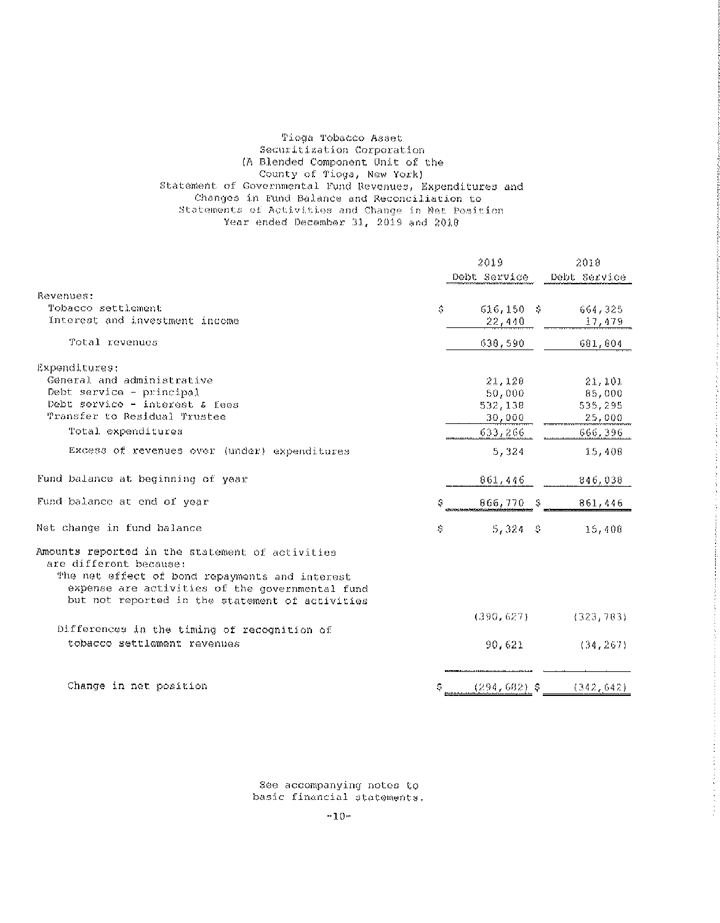### Tioga Tobacco Asset Securitization Corporation (A Blended Component Unit of the County of Tioga, New York) Statement of Governmental Fund Revenues, Expenditures and Changes in Fund Balance and Reconciliation to Statements of Activities and Change in Net Position Year ended December 31, 2019 and 2018

|                                                                                                                                                                                                                                   |    | 2019                                 | 2018         |
|-----------------------------------------------------------------------------------------------------------------------------------------------------------------------------------------------------------------------------------|----|--------------------------------------|--------------|
|                                                                                                                                                                                                                                   |    | Døbt Service                         | Debt Service |
| Revenues:                                                                                                                                                                                                                         |    |                                      |              |
| Tobacco settlement                                                                                                                                                                                                                | S  | $616, 150$ $\beta$                   | 664,325      |
| Interest and investment income                                                                                                                                                                                                    |    | 22,440                               | 17,479       |
| Total revenues                                                                                                                                                                                                                    |    | 638,590                              | 681,804      |
| Expenditures:                                                                                                                                                                                                                     |    |                                      |              |
| General and administrative                                                                                                                                                                                                        |    | 21,128                               | 21,101       |
| Debt service - principal                                                                                                                                                                                                          |    | 50,000                               | 85,000       |
| Debt service - interest & fees                                                                                                                                                                                                    |    | 532,138                              | 535,295      |
| Transfer to Residual Trustee                                                                                                                                                                                                      |    | 30,000                               | 25,000       |
| Total expenditures                                                                                                                                                                                                                |    | 633,266                              | 666,396      |
| Excess of revenues over (under) expenditures                                                                                                                                                                                      |    | 5,324                                | 15,408       |
| Fund balance at beginning of year                                                                                                                                                                                                 |    | 861,446                              | 846,038      |
| Fund balance at end of year                                                                                                                                                                                                       | Ş. | 866,770<br>$\sim$                    | 861,446      |
| Net change in fund balance                                                                                                                                                                                                        | 舄  | 5,324<br>$\mathcal{L}_{\mathcal{I}}$ | 15,408       |
| Amounts reported in the statement of activities<br>are different because:<br>The net effect of bond repayments and interest<br>expense are activities of the governmental fund<br>but not reported in the statement of activities |    |                                      |              |
|                                                                                                                                                                                                                                   |    | (390, 627)                           | (323,783)    |
| Differences in the timing of recognition of                                                                                                                                                                                       |    |                                      |              |
| tobacco settlement revenues                                                                                                                                                                                                       |    | 90,621                               | (34, 267)    |
|                                                                                                                                                                                                                                   |    |                                      |              |
| Change in net position                                                                                                                                                                                                            | Ş  | $(294, 682)$ \$                      | (342, 642)   |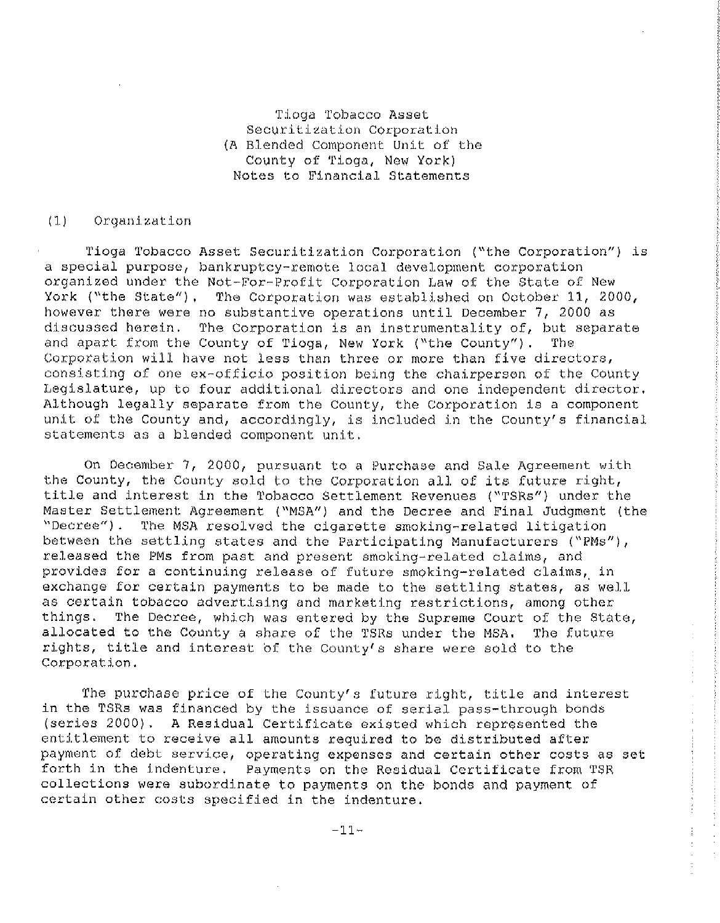#### $(1)$ Organization

Tioga Tobacco Asset Securitization Corporation ("the Corporation") is a special purpose, bankruptcy-remote local development corporation organized under the Not-For-Profit Corporation Law of the State of New York ("the State"). The Corporation was established on October 11, 2000, however there were no substantive operations until December 7, 2000 as discussed herein. The Corporation is an instrumentality of, but separate and apart from the County of Tioga, New York ("the County"). The Corporation will have not less than three or more than five directors, consisting of one ex-officio position being the chairperson of the County Legislature, up to four additional directors and one independent director. Although legally separate from the County, the Corporation is a component unit of the County and, accordingly, is included in the County's financial statements as a blended component unit.

On December 7, 2000, pursuant to a Purchase and Sale Agreement with the County, the County sold to the Corporation all of its future right, title and interest in the Tobacco Settlement Revenues ("TSRs") under the Master Settlement Agreement ("MSA") and the Decree and Final Judgment (the "Decree"). The MSA resolved the cigarette smoking-related litigation between the settling states and the Participating Manufacturers ("PMs"), released the PMs from past and present smoking-related claims, and provides for a continuing release of future smoking-related claims, in exchange for certain payments to be made to the settling states, as well as certain tobacco advertising and marketing restrictions, among other things. The Decree, which was entered by the Supreme Court of the State, allocated to the County a share of the TSRs under the MSA. The future rights, title and interest of the County's share were sold to the Corporation.

The purchase price of the County's future right, title and interest in the TSRs was financed by the issuance of serial pass-through bonds (series 2000). A Residual Certificate existed which represented the entitlement to receive all amounts required to be distributed after payment of debt service, operating expenses and certain other costs as set forth in the indenture. Payments on the Residual Certificate from TSR collections were subordinate to payments on the bonds and payment of certain other costs specified in the indenture.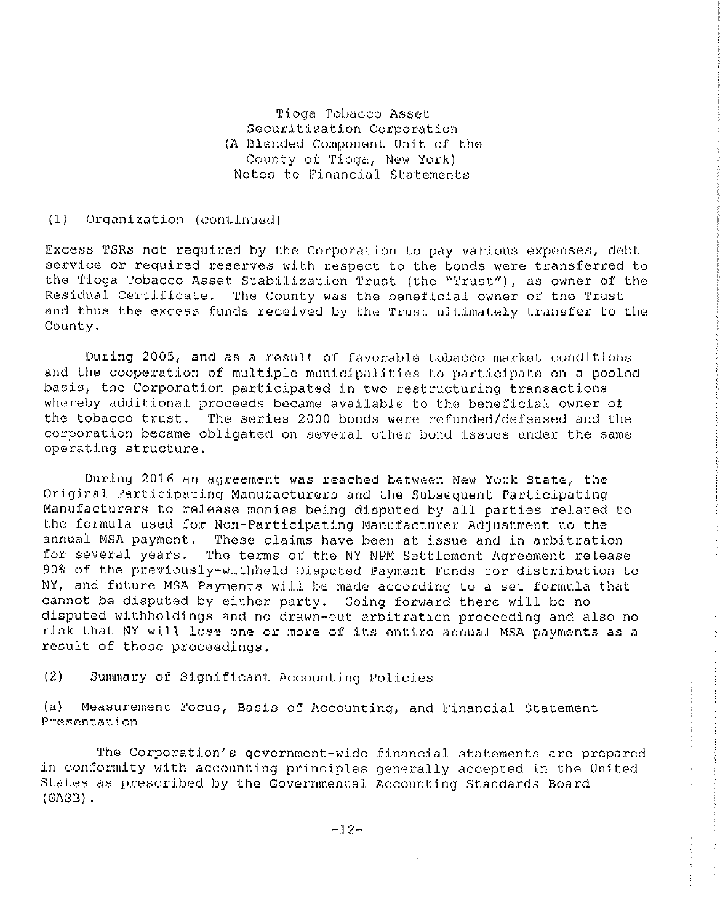### $(1)$ Organization (continued)

Excess TSRs not required by the Corporation to pay various expenses, debt service or required reserves with respect to the bonds were transferred to the Tioga Tobacco Asset Stabilization Trust (the "Trust"), as owner of the Residual Certificate. The County was the beneficial owner of the Trust and thus the excess funds received by the Trust ultimately transfer to the County.

During 2005, and as a result of favorable tobacco market conditions and the cooperation of multiple municipalities to participate on a pooled basis, the Corporation participated in two restructuring transactions whereby additional proceeds became available to the beneficial owner of the tobacco trust. The series 2000 bonds were refunded/defeased and the corporation became obligated on several other bond issues under the same operating structure.

During 2016 an agreement was reached between New York State, the Original Participating Manufacturers and the Subsequent Participating Manufacturers to release monies being disputed by all parties related to the formula used for Non-Participating Manufacturer Adjustment to the annual MSA payment. These claims have been at issue and in arbitration for several years. The terms of the NY NPM Settlement Agreement release 90% of the previously-withheld Disputed Payment Funds for distribution to NY, and future MSA Payments will be made according to a set formula that cannot be disputed by either party. Going forward there will be no disputed withholdings and no drawn-out arbitration proceeding and also no risk that NY will lose one or more of its entire annual MSA payments as a result of those proceedings.

 $(2)$ Summary of Significant Accounting Policies

 $(a)$ Measurement Focus, Basis of Accounting, and Financial Statement Presentation

The Corporation's government-wide financial statements are prepared in conformity with accounting principles generally accepted in the United States as prescribed by the Governmental Accounting Standards Board  $(GASB)$ .

 $-12-$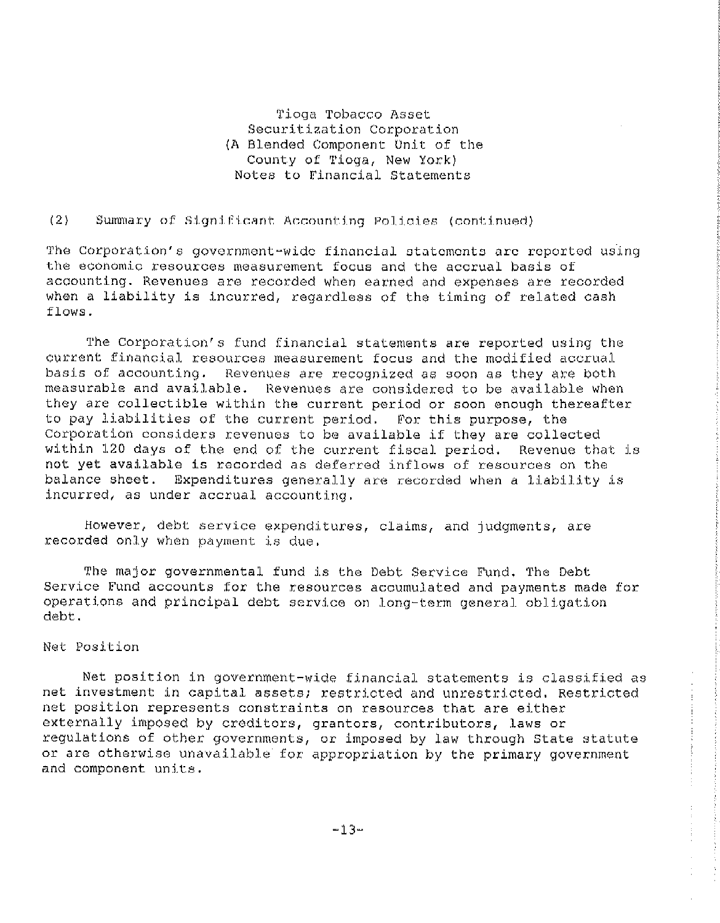### $(2)$ Summary of Significant Accounting Policies (continued)

The Corporation's government-wide financial statements are reported using the economic resources measurement focus and the accrual basis of accounting. Revenues are recorded when earned and expenses are recorded when a liability is incurred, regardless of the timing of related cash flows.

The Corporation's fund financial statements are reported using the current financial resources measurement focus and the modified accrual basis of accounting. Revenues are recognized as soon as they are both measurable and available. Revenues are considered to be available when they are collectible within the current period or soon enough thereafter to pay liabilities of the current period. For this purpose, the Corporation considers revenues to be available if they are collected within 120 days of the end of the current fiscal period. Revenue that is not vet available is recorded as deferred inflows of resources on the balance sheet. Expenditures generally are recorded when a liability is incurred, as under accrual accounting.

However, debt service expenditures, claims, and judgments, are recorded only when payment is due.

The major governmental fund is the Debt Service Fund, The Debt Service Fund accounts for the resources accumulated and payments made for operations and principal debt service on long-term general obligation debt .

## Net Position

Net position in government-wide financial statements is classified as net investment in capital assets; restricted and unrestricted. Restricted net position represents constraints on resources that are either externally imposed by creditors, grantors, contributors, laws or regulations of other governments, or imposed by law through State statute or are otherwise unavailable for appropriation by the primary government and component units.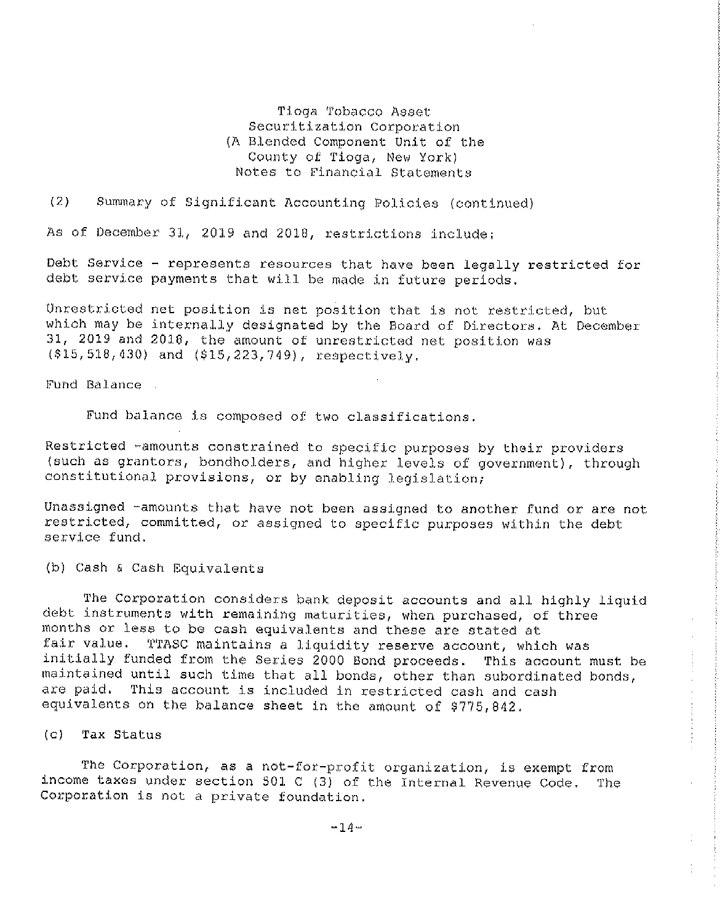$(2)$ Summary of Significant Accounting Policies (continued)

As of December 31, 2019 and 2018, restrictions include:

Debt Service - represents resources that have been legally restricted for debt service payments that will be made in future periods.

Unrestricted net position is net position that is not restricted, but which may be internally designated by the Board of Directors. At December 31, 2019 and 2018, the amount of unrestricted net position was  $(515, 518, 430)$  and  $(515, 223, 749)$ , respectively.

Fund Balance.

Fund balance is composed of two classifications.

Restricted -amounts constrained to specific purposes by their providers (such as grantors, bondholders, and higher levels of government), through constitutional provisions, or by enabling legislation;

Unassigned -amounts that have not been assigned to another fund or are not restricted, committed, or assigned to specific purposes within the debt service fund.

(b) Cash & Cash Equivalents

The Corporation considers bank deposit accounts and all highly liquid debt instruments with remaining maturities, when purchased, of three months or less to be cash equivalents and these are stated at fair value. TTASC maintains a liquidity reserve account, which was initially funded from the Series 2000 Bond proceeds. This account must be maintained until such time that all bonds, other than subordinated bonds, are paid. This account is included in restricted cash and cash equivalents on the balance sheet in the amount of \$775,842.

 $(C)$ Tax Status

The Corporation, as a not-for-profit organization, is exempt from income taxes under section 501 C (3) of the Internal Revenue Code. The Corporation is not a private foundation.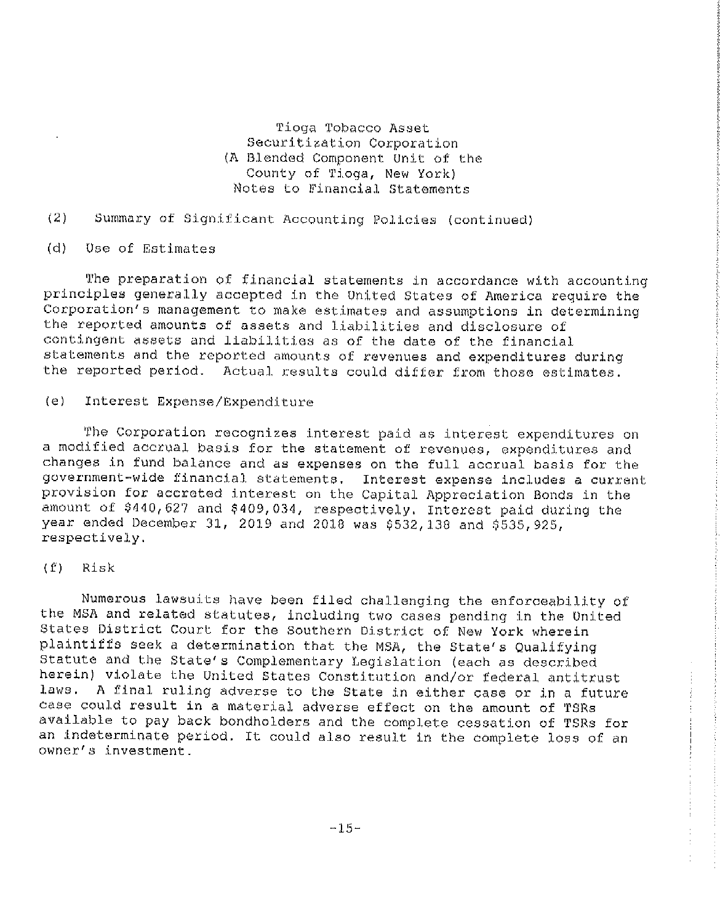$(2)$ Summary of Significant Accounting Policies (continued)

 $(d)$ Use of Estimates

The preparation of financial statements in accordance with accounting principles generally accepted in the United States of America require the Corporation's management to make estimates and assumptions in determining the reported amounts of assets and liabilities and disclosure of contingent assets and liabilities as of the date of the financial statements and the reported amounts of revenues and expenditures during the reported period. Actual results could differ from those estimates.

### Interest Expense/Expenditure  $(e)$

The Corporation recognizes interest paid as interest expenditures on a modified accrual basis for the statement of revenues, expenditures and changes in fund balance and as expenses on the full accrual basis for the government-wide financial statements. Interest expense includes a current provision for accreted interest on the Capital Appreciation Bonds in the amount of \$440,627 and \$409,034, respectively. Interest paid during the year ended December 31, 2019 and 2018 was \$532,138 and \$535,925, respectively.

#### $(f')$ Risk

Numerous lawsuits have been filed challenging the enforceability of the MSA and related statutes, including two cases pending in the United States District Court for the Southern District of New York wherein plaintiffs seek a determination that the MSA, the State's Qualifying Statute and the State's Complementary Legislation (each as described herein) violate the United States Constitution and/or federal antitrust A final ruling adverse to the State in either case or in a future laws. case could result in a material adverse effect on the amount of TSRs available to pay back bondholders and the complete cessation of TSRs for an indeterminate period. It could also result in the complete loss of an owner's investment.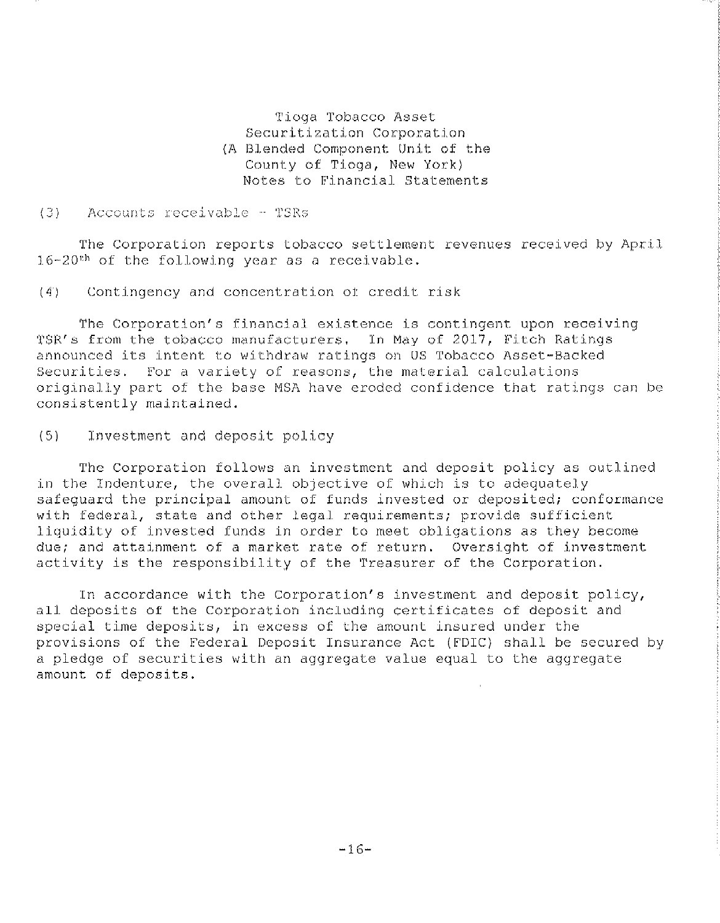#### $(3)$ - Accounts receivable - TSRs

The Corporation reports tobacco settlement revenues received by April 16-20th of the following year as a receivable.

 $(4)$ Contingency and concentration of credit risk

The Corporation's financial existence is contingent upon receiving TSR's from the tobacco manufacturers. In May of 2017, Fitch Ratings announced its intent to withdraw ratings on US Tobacco Asset-Backed Securities. For a variety of reasons, the material calculations originally part of the base MSA have eroded confidence that ratings can be consistently maintained.

 $(5)$ Investment and deposit policy

The Corporation follows an investment and deposit policy as outlined in the Indenture, the overall objective of which is to adequately safeguard the principal amount of funds invested or deposited; conformance with federal, state and other legal requirements; provide sufficient liquidity of invested funds in order to meet obligations as they become due; and attainment of a market rate of return. Oversight of investment activity is the responsibility of the Treasurer of the Corporation.

In accordance with the Corporation's investment and deposit policy, all deposits of the Corporation including certificates of deposit and special time deposits, in excess of the amount insured under the provisions of the Federal Deposit Insurance Act (FDIC) shall be secured by a pledge of securities with an aggregate value equal to the aggregate amount of deposits.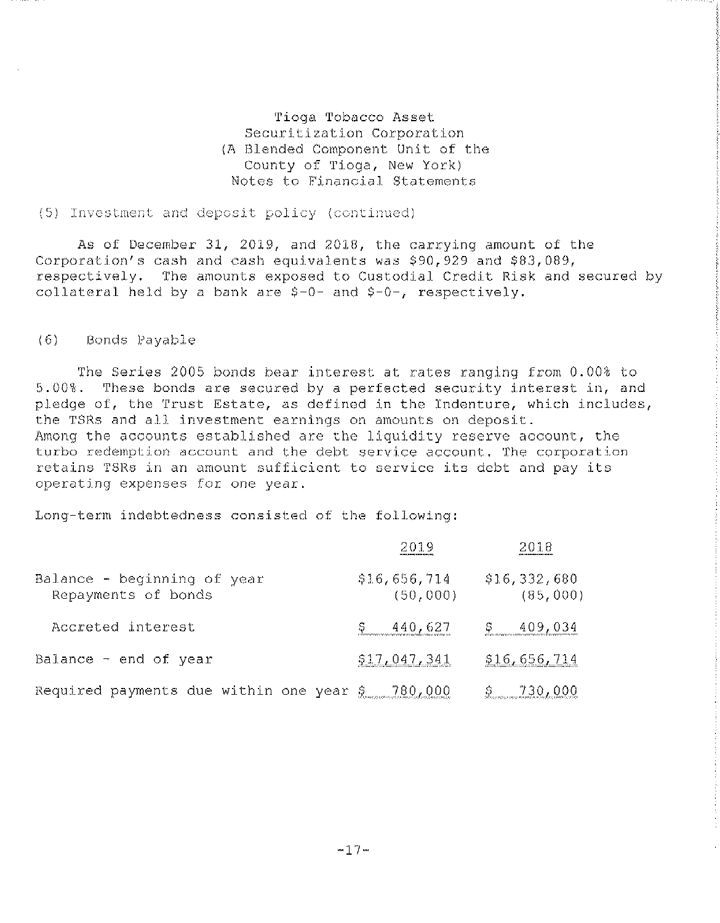### (5) Investment and deposit policy (continued)

As of December 31, 2019, and 2018, the carrying amount of the Corporation's cash and cash equivalents was \$90,929 and \$83,089, respectively. The amounts exposed to Custodial Credit Risk and secured by collateral held by a bank are  $$-0-$  and  $$-0-$ , respectively.

### $(6)$ Bonds Payable

The Series 2005 bonds bear interest at rates ranging from 0.00% to 5.00%. These bonds are secured by a perfected security interest in, and pledge of, the Trust Estate, as defined in the Indenture, which includes, the TSRs and all investment earnings on amounts on deposit. Among the accounts established are the liquidity reserve account, the turbo redemption account and the debt service account. The corporation retains TSRs in an amount sufficient to service its debt and pay its operating expenses for one year.

Long-term indebtedness consisted of the following:

|                                                    | 2019                     | 2018                     |
|----------------------------------------------------|--------------------------|--------------------------|
| Balance - beginning of year<br>Repayments of bonds | \$16,656,714<br>(50,000) | \$16,332,680<br>(85,000) |
| Accreted interest                                  | 440,627                  | \$ 409,034               |
| Balance - end of year                              | \$17,047,341             | \$16,656,714             |
| Required payments due within one year § 780,000    |                          | \$730,000                |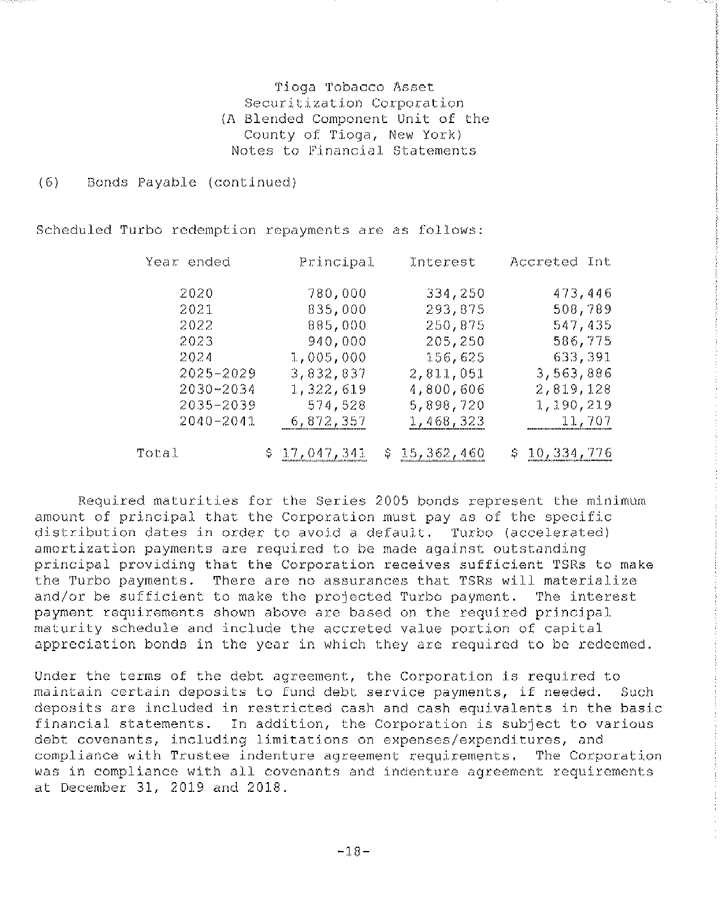$(6)$ Bonds Payable (continued)

at the company of the company

Scheduled Turbo redemption repayments are as follows:

| Year ended    | Principal    | Interest     | Accreted Int |
|---------------|--------------|--------------|--------------|
| 2020          | 780,000      | 334,250      | 473,446      |
| 2021          | 835,000      | 293,875      | 508,789      |
| 2022          | 885,000      | 250,875      | 547,435      |
| 2023          | 940,000      | 205,250      | 586,775      |
| 2024          | 1,005,000    | 156,625      | 633,391      |
| 2025-2029     | 3,832,837    | 2,811,051    | 3,563,886    |
| 2030-2034     | 1,322,619    | 4,800,606    | 2,819,128    |
| $2035 - 2039$ | 574,528      | 5,898,720    | 1,190,219    |
| $2040 - 2041$ | 6,872,357    | 1,468,323    | 11,707       |
| Total         | \$17,047,341 | \$15,362,460 | \$10,334,776 |

Required maturities for the Series 2005 bonds represent the minimum amount of principal that the Corporation must pay as of the specific distribution dates in order to avoid a default. Turbo (accelerated) amortization payments are required to be made against outstanding principal providing that the Corporation receives sufficient TSRs to make the Turbo payments. There are no assurances that TSRs will materialize and/or be sufficient to make the projected Turbo payment. The interest payment requirements shown above are based on the required principal maturity schedule and include the accreted value portion of capital appreciation bonds in the year in which they are required to be redeemed.

Under the terms of the debt agreement, the Corporation is required to maintain certain deposits to fund debt service payments, if needed. Such deposits are included in restricted cash and cash equivalents in the basic financial statements. In addition, the Corporation is subject to various debt covenants, including limitations on expenses/expenditures, and compliance with Trustee indenture agreement requirements. The Corporation was in compliance with all covenants and indenture agreement requirements at December 31, 2019 and 2018.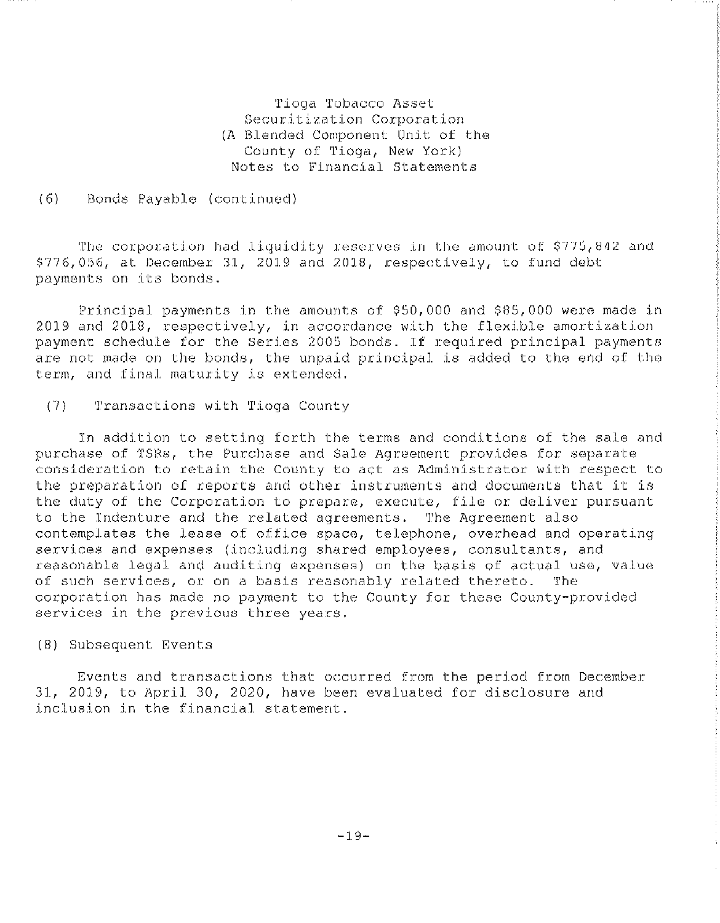### $(6)$ Bonds Payable (continued)

The corporation had liquidity reserves in the amount of \$775,842 and \$776,056, at December 31, 2019 and 2018, respectively, to fund debt payments on its bonds.

Principal payments in the amounts of \$50,000 and \$85,000 were made in 2019 and 2018, respectively, in accordance with the flexible amortization payment schedule for the Series 2005 bonds. If required principal payments are not made on the bonds, the unpaid principal is added to the end of the term, and final maturity is extended.

### $(7)$ Transactions with Tioga County

In addition to setting forth the terms and conditions of the sale and purchase of TSRs, the Purchase and Sale Agreement provides for separate consideration to retain the County to act as Administrator with respect to the preparation of reports and other instruments and documents that it is the duty of the Corporation to prepare, execute, file or deliver pursuant to the Indenture and the related agreements. The Agreement also contemplates the lease of office space, telephone, overhead and operating services and expenses (including shared employees, consultants, and reasonable legal and auditing expenses) on the basis of actual use, value of such services, or on a basis reasonably related thereto. The corporation has made no payment to the County for these County-provided services in the previous three years.

### (8) Subsequent Events

Events and transactions that occurred from the period from December 31, 2019, to April 30, 2020, have been evaluated for disclosure and inclusion in the financial statement.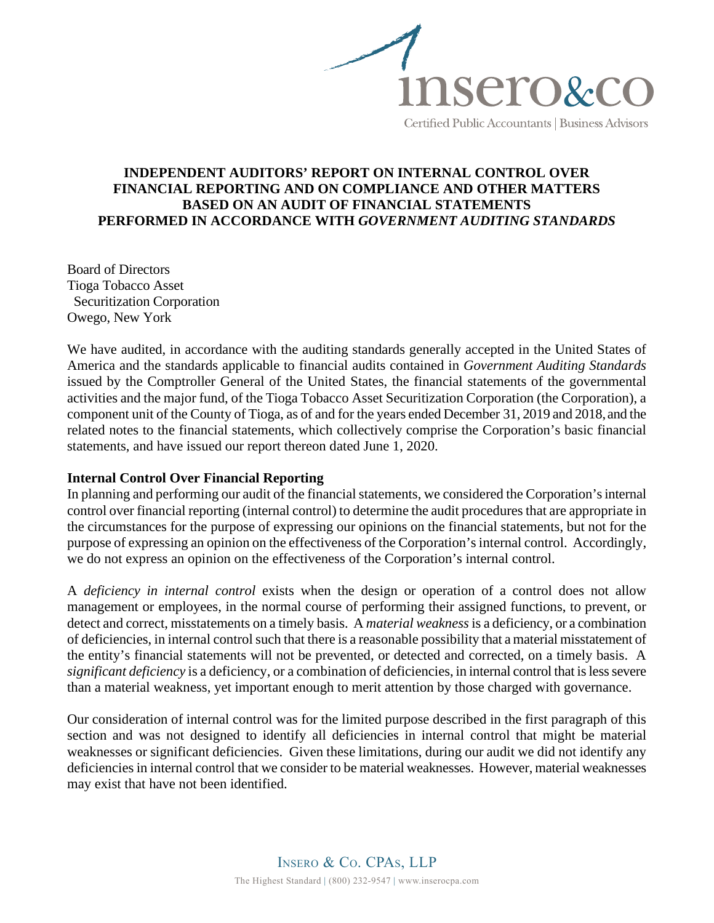

Certified Public Accountants | Business Advisors

# **INDEPENDENT AUDITORS' REPORT ON INTERNAL CONTROL OVER FINANCIAL REPORTING AND ON COMPLIANCE AND OTHER MATTERS BASED ON AN AUDIT OF FINANCIAL STATEMENTS PERFORMED IN ACCORDANCE WITH** *GOVERNMENT AUDITING STANDARDS*

Board of Directors Tioga Tobacco Asset Securitization Corporation Owego, New York

We have audited, in accordance with the auditing standards generally accepted in the United States of America and the standards applicable to financial audits contained in *Government Auditing Standards*  issued by the Comptroller General of the United States, the financial statements of the governmental activities and the major fund, of the Tioga Tobacco Asset Securitization Corporation (the Corporation), a component unit of the County of Tioga, as of and for the years ended December 31, 2019 and 2018, and the related notes to the financial statements, which collectively comprise the Corporation's basic financial statements, and have issued our report thereon dated June 1, 2020.

## **Internal Control Over Financial Reporting**

In planning and performing our audit of the financial statements, we considered the Corporation's internal control over financial reporting (internal control) to determine the audit procedures that are appropriate in the circumstances for the purpose of expressing our opinions on the financial statements, but not for the purpose of expressing an opinion on the effectiveness of the Corporation's internal control. Accordingly, we do not express an opinion on the effectiveness of the Corporation's internal control.

A *deficiency in internal control* exists when the design or operation of a control does not allow management or employees, in the normal course of performing their assigned functions, to prevent, or detect and correct, misstatements on a timely basis. A *material weakness*is a deficiency, or a combination of deficiencies, in internal control such that there is a reasonable possibility that a material misstatement of the entity's financial statements will not be prevented, or detected and corrected, on a timely basis. A *significant deficiency* is a deficiency, or a combination of deficiencies, in internal control that is less severe than a material weakness, yet important enough to merit attention by those charged with governance.

Our consideration of internal control was for the limited purpose described in the first paragraph of this section and was not designed to identify all deficiencies in internal control that might be material weaknesses or significant deficiencies. Given these limitations, during our audit we did not identify any deficiencies in internal control that we consider to be material weaknesses. However, material weaknesses may exist that have not been identified.